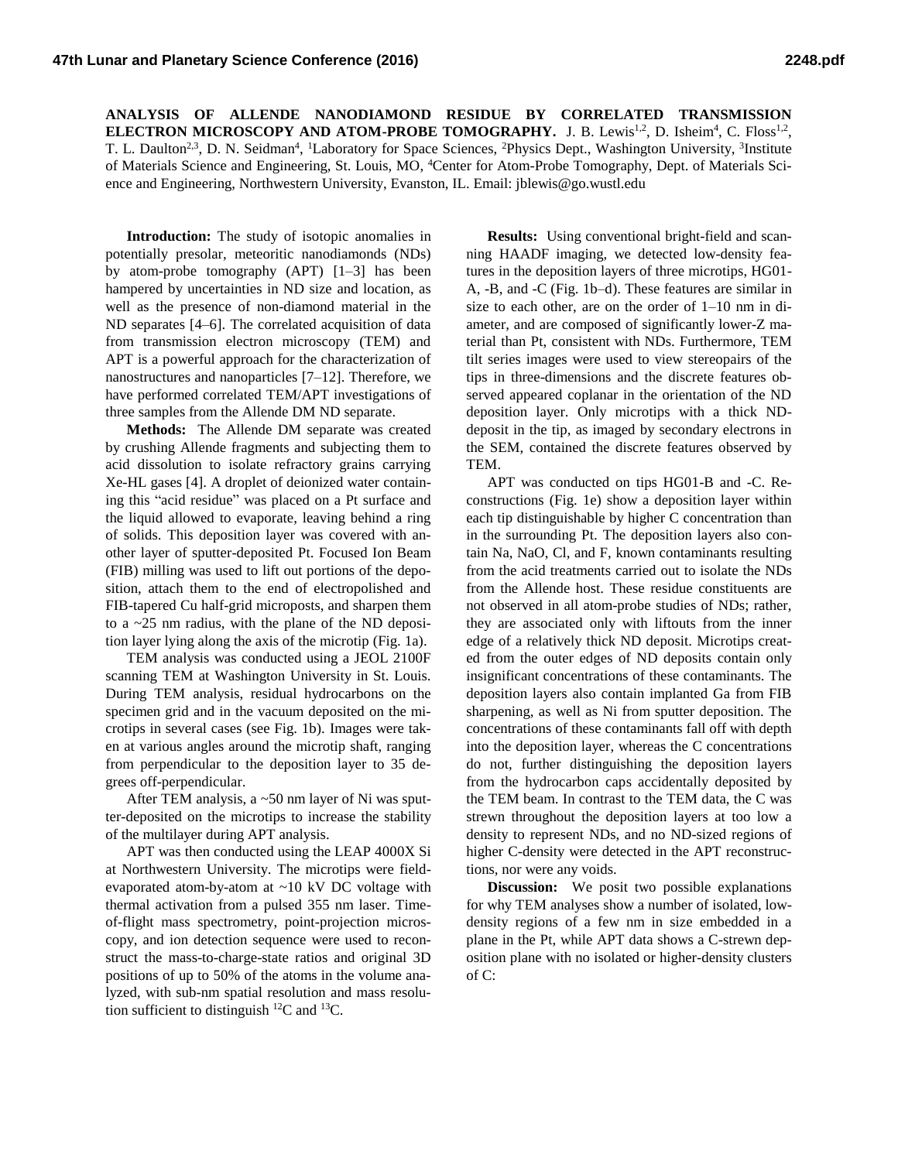**ANALYSIS OF ALLENDE NANODIAMOND RESIDUE BY CORRELATED TRANSMISSION ELECTRON MICROSCOPY AND ATOM-PROBE TOMOGRAPHY.** J. B. Lewis<sup>1,2</sup>, D. Isheim<sup>4</sup>, C. Floss<sup>1,2</sup>, T. L. Daulton<sup>2,3</sup>, D. N. Seidman<sup>4</sup>, <sup>1</sup>Laboratory for Space Sciences, <sup>2</sup>Physics Dept., Washington University, <sup>3</sup>Institute of Materials Science and Engineering, St. Louis, MO, <sup>4</sup>Center for Atom-Probe Tomography, Dept. of Materials Science and Engineering, Northwestern University, Evanston, IL. Email: jblewis@go.wustl.edu

**Introduction:** The study of isotopic anomalies in potentially presolar, meteoritic nanodiamonds (NDs) by atom-probe tomography (APT) [1–3] has been hampered by uncertainties in ND size and location, as well as the presence of non-diamond material in the ND separates [4–6]. The correlated acquisition of data from transmission electron microscopy (TEM) and APT is a powerful approach for the characterization of nanostructures and nanoparticles [7–12]. Therefore, we have performed correlated TEM/APT investigations of three samples from the Allende DM ND separate.

**Methods:** The Allende DM separate was created by crushing Allende fragments and subjecting them to acid dissolution to isolate refractory grains carrying Xe-HL gases [4]. A droplet of deionized water containing this "acid residue" was placed on a Pt surface and the liquid allowed to evaporate, leaving behind a ring of solids. This deposition layer was covered with another layer of sputter-deposited Pt. Focused Ion Beam (FIB) milling was used to lift out portions of the deposition, attach them to the end of electropolished and FIB-tapered Cu half-grid microposts, and sharpen them to a ~25 nm radius, with the plane of the ND deposition layer lying along the axis of the microtip (Fig. 1a).

TEM analysis was conducted using a JEOL 2100F scanning TEM at Washington University in St. Louis. During TEM analysis, residual hydrocarbons on the specimen grid and in the vacuum deposited on the microtips in several cases (see Fig. 1b). Images were taken at various angles around the microtip shaft, ranging from perpendicular to the deposition layer to 35 degrees off-perpendicular.

After TEM analysis, a ~50 nm layer of Ni was sputter-deposited on the microtips to increase the stability of the multilayer during APT analysis.

APT was then conducted using the LEAP 4000X Si at Northwestern University. The microtips were fieldevaporated atom-by-atom at ~10 kV DC voltage with thermal activation from a pulsed 355 nm laser. Timeof-flight mass spectrometry, point-projection microscopy, and ion detection sequence were used to reconstruct the mass-to-charge-state ratios and original 3D positions of up to 50% of the atoms in the volume analyzed, with sub-nm spatial resolution and mass resolution sufficient to distinguish  ${}^{12}C$  and  ${}^{13}C$ .

**Results:** Using conventional bright-field and scanning HAADF imaging, we detected low-density features in the deposition layers of three microtips, HG01- A, -B, and -C (Fig. 1b–d). These features are similar in size to each other, are on the order of 1–10 nm in diameter, and are composed of significantly lower-Z material than Pt, consistent with NDs. Furthermore, TEM tilt series images were used to view stereopairs of the tips in three-dimensions and the discrete features observed appeared coplanar in the orientation of the ND deposition layer. Only microtips with a thick NDdeposit in the tip, as imaged by secondary electrons in the SEM, contained the discrete features observed by TEM.

APT was conducted on tips HG01-B and -C. Reconstructions (Fig. 1e) show a deposition layer within each tip distinguishable by higher C concentration than in the surrounding Pt. The deposition layers also contain Na, NaO, Cl, and F, known contaminants resulting from the acid treatments carried out to isolate the NDs from the Allende host. These residue constituents are not observed in all atom-probe studies of NDs; rather, they are associated only with liftouts from the inner edge of a relatively thick ND deposit. Microtips created from the outer edges of ND deposits contain only insignificant concentrations of these contaminants. The deposition layers also contain implanted Ga from FIB sharpening, as well as Ni from sputter deposition. The concentrations of these contaminants fall off with depth into the deposition layer, whereas the C concentrations do not, further distinguishing the deposition layers from the hydrocarbon caps accidentally deposited by the TEM beam. In contrast to the TEM data, the C was strewn throughout the deposition layers at too low a density to represent NDs, and no ND-sized regions of higher C-density were detected in the APT reconstructions, nor were any voids.

**Discussion:** We posit two possible explanations for why TEM analyses show a number of isolated, lowdensity regions of a few nm in size embedded in a plane in the Pt, while APT data shows a C-strewn deposition plane with no isolated or higher-density clusters of C: